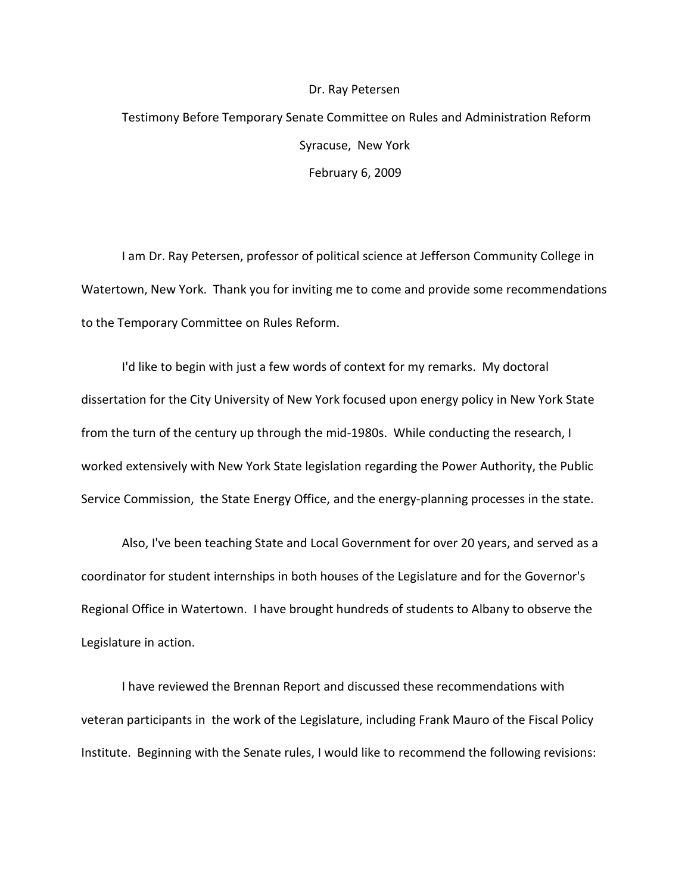## Dr. Ray Petersen

## Testimony Before Temporary Senate Committee on Rules and Administration Reform Syracuse, New York February 6, 2009

I am Dr. Ray Petersen, professor of political science at Jefferson Community College in Watertown, New York. Thank you for inviting me to come and provide some recommendations to the Temporary Committee on Rules Reform.

I'd like to begin with just a few words of context for my remarks. My doctoral dissertation for the City University of New York focused upon energy policy in New York State from the turn of the century up through the mid-1980s. While conducting the research, I worked extensively with New York State legislation regarding the Power Authority, the Public Service Commission, the State Energy Office, and the energy-planning processes in the state.

Also, I've been teaching State and Local Government for over 20 years, and served as a coordinator for student internships in both houses of the Legislature and for the Governor's Regional Office in Watertown. I have brought hundreds of students to Albany to observe the Legislature in action.

I have reviewed the Brennan Report and discussed these recommendations with veteran participants in the work of the Legislature, including Frank Mauro of the Fiscal Policy Institute. Beginning with the Senate rules, I would like to recommend the following revisions: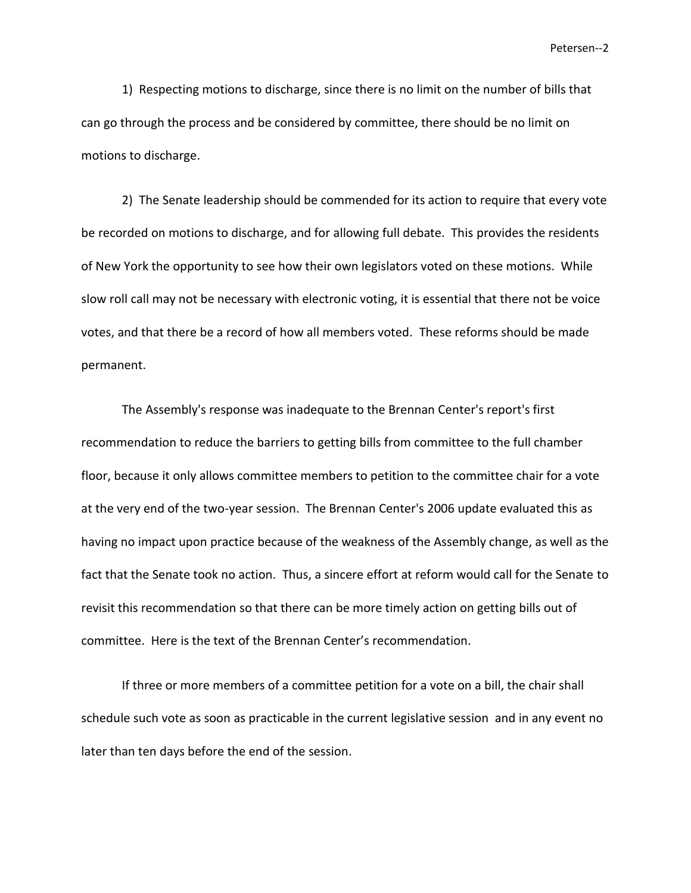1) Respecting motions to discharge, since there is no limit on the number of bills that can go through the process and be considered by committee, there should be no limit on motions to discharge.

2) The Senate leadership should be commended for its action to require that every vote be recorded on motions to discharge, and for allowing full debate. This provides the residents of New York the opportunity to see how their own legislators voted on these motions. While slow roll call may not be necessary with electronic voting, it is essential that there not be voice votes, and that there be a record of how all members voted. These reforms should be made permanent.

The Assembly's response was inadequate to the Brennan Center's report's first recommendation to reduce the barriers to getting bills from committee to the full chamber floor, because it only allows committee members to petition to the committee chair for a vote at the very end of the two-year session. The Brennan Center's 2006 update evaluated this as having no impact upon practice because of the weakness of the Assembly change, as well as the fact that the Senate took no action. Thus, a sincere effort at reform would call for the Senate to revisit this recommendation so that there can be more timely action on getting bills out of committee. Here is the text of the Brennan Center's recommendation.

If three or more members of a committee petition for a vote on a bill, the chair shall schedule such vote as soon as practicable in the current legislative session and in any event no later than ten days before the end of the session.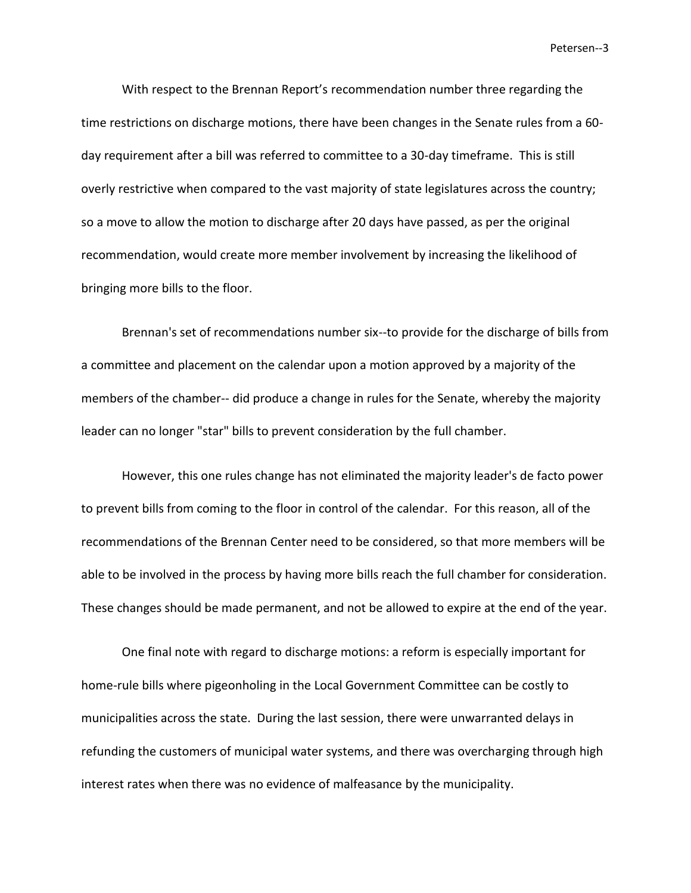With respect to the Brennan Report's recommendation number three regarding the time restrictions on discharge motions, there have been changes in the Senate rules from a 60 day requirement after a bill was referred to committee to a 30-day timeframe. This is still overly restrictive when compared to the vast majority of state legislatures across the country; so a move to allow the motion to discharge after 20 days have passed, as per the original recommendation, would create more member involvement by increasing the likelihood of bringing more bills to the floor.

Brennan's set of recommendations number six--to provide for the discharge of bills from a committee and placement on the calendar upon a motion approved by a majority of the members of the chamber-- did produce a change in rules for the Senate, whereby the majority leader can no longer "star" bills to prevent consideration by the full chamber.

However, this one rules change has not eliminated the majority leader's de facto power to prevent bills from coming to the floor in control of the calendar. For this reason, all of the recommendations of the Brennan Center need to be considered, so that more members will be able to be involved in the process by having more bills reach the full chamber for consideration. These changes should be made permanent, and not be allowed to expire at the end of the year.

One final note with regard to discharge motions: a reform is especially important for home-rule bills where pigeonholing in the Local Government Committee can be costly to municipalities across the state. During the last session, there were unwarranted delays in refunding the customers of municipal water systems, and there was overcharging through high interest rates when there was no evidence of malfeasance by the municipality.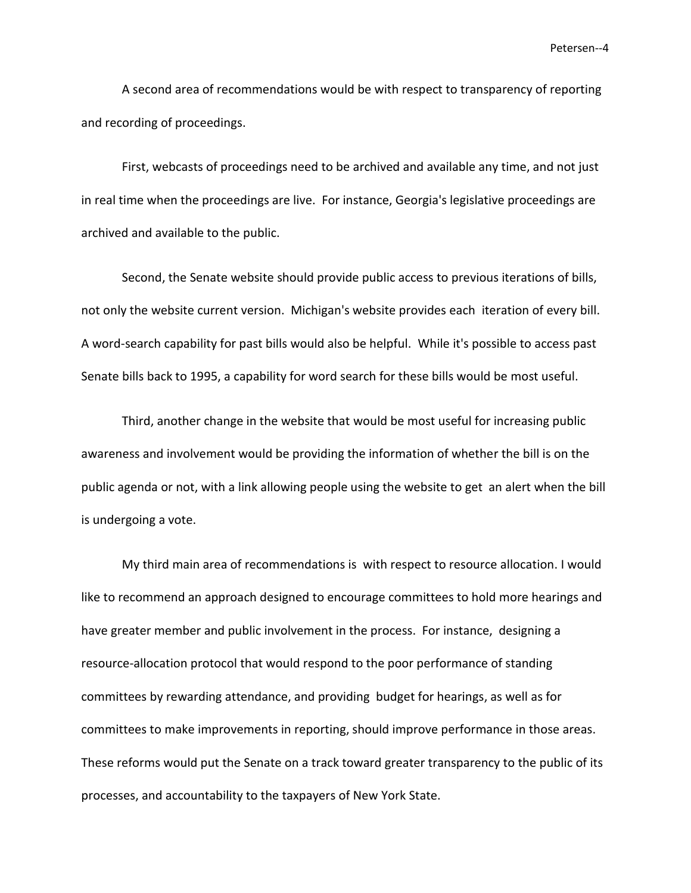A second area of recommendations would be with respect to transparency of reporting and recording of proceedings.

First, webcasts of proceedings need to be archived and available any time, and not just in real time when the proceedings are live. For instance, Georgia's legislative proceedings are archived and available to the public.

Second, the Senate website should provide public access to previous iterations of bills, not only the website current version. Michigan's website provides each iteration of every bill. A word-search capability for past bills would also be helpful. While it's possible to access past Senate bills back to 1995, a capability for word search for these bills would be most useful.

Third, another change in the website that would be most useful for increasing public awareness and involvement would be providing the information of whether the bill is on the public agenda or not, with a link allowing people using the website to get an alert when the bill is undergoing a vote.

My third main area of recommendations is with respect to resource allocation. I would like to recommend an approach designed to encourage committees to hold more hearings and have greater member and public involvement in the process. For instance, designing a resource-allocation protocol that would respond to the poor performance of standing committees by rewarding attendance, and providing budget for hearings, as well as for committees to make improvements in reporting, should improve performance in those areas. These reforms would put the Senate on a track toward greater transparency to the public of its processes, and accountability to the taxpayers of New York State.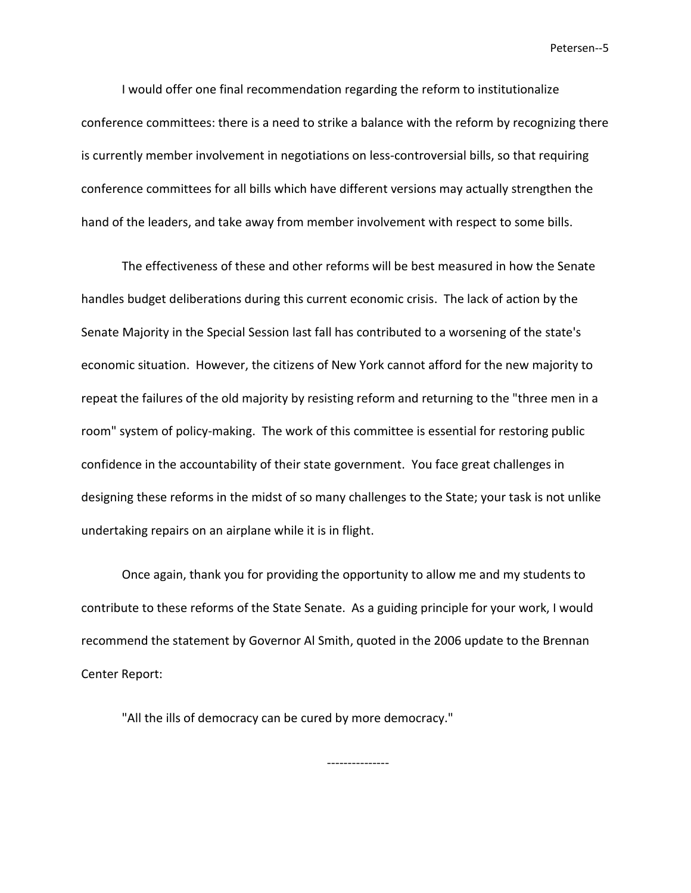I would offer one final recommendation regarding the reform to institutionalize conference committees: there is a need to strike a balance with the reform by recognizing there is currently member involvement in negotiations on less-controversial bills, so that requiring conference committees for all bills which have different versions may actually strengthen the hand of the leaders, and take away from member involvement with respect to some bills.

The effectiveness of these and other reforms will be best measured in how the Senate handles budget deliberations during this current economic crisis. The lack of action by the Senate Majority in the Special Session last fall has contributed to a worsening of the state's economic situation. However, the citizens of New York cannot afford for the new majority to repeat the failures of the old majority by resisting reform and returning to the "three men in a room" system of policy-making. The work of this committee is essential for restoring public confidence in the accountability of their state government. You face great challenges in designing these reforms in the midst of so many challenges to the State; your task is not unlike undertaking repairs on an airplane while it is in flight.

Once again, thank you for providing the opportunity to allow me and my students to contribute to these reforms of the State Senate. As a guiding principle for your work, I would recommend the statement by Governor Al Smith, quoted in the 2006 update to the Brennan Center Report:

"All the ills of democracy can be cured by more democracy."

---------------